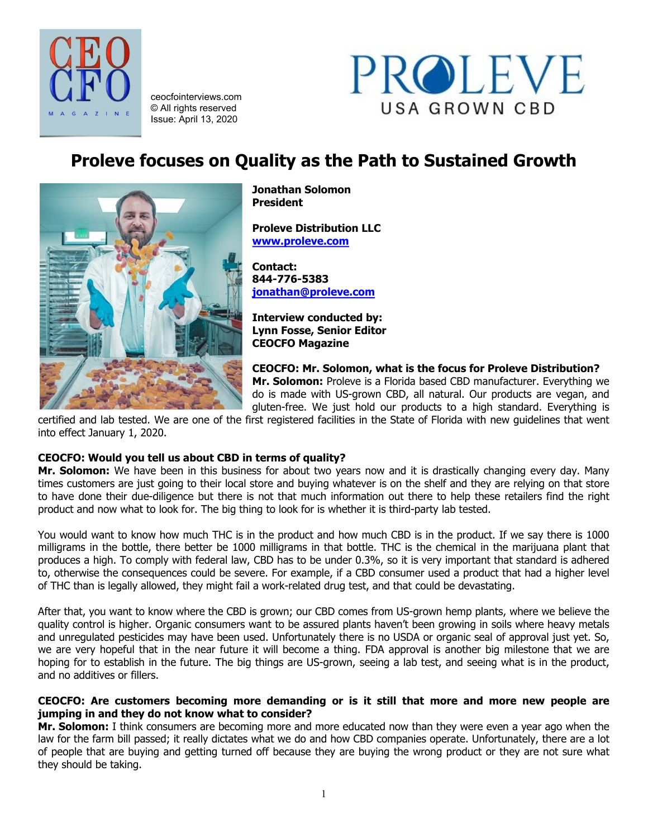

ceocfointerviews.com © All rights reserved Issue: April 13, 2020



# **Proleve focuses on Quality as the Path to Sustained Growth**



**Jonathan Solomon President**

**Proleve Distribution LLC [www.proleve.com](http://www.proleve.com/)**

**Contact: 844-776-5383 [jonathan@proleve.com](mailto:jonathan@proleve.com)**

**Interview conducted by: Lynn Fosse, Senior Editor CEOCFO Magazine**

**CEOCFO: Mr. Solomon, what is the focus for Proleve Distribution? Mr. Solomon:** Proleve is a Florida based CBD manufacturer. Everything we do is made with US-grown CBD, all natural. Our products are vegan, and gluten-free. We just hold our products to a high standard. Everything is

certified and lab tested. We are one of the first registered facilities in the State of Florida with new guidelines that went into effect January 1, 2020.

# **CEOCFO: Would you tell us about CBD in terms of quality?**

**Mr. Solomon:** We have been in this business for about two years now and it is drastically changing every day. Many times customers are just going to their local store and buying whatever is on the shelf and they are relying on that store to have done their due-diligence but there is not that much information out there to help these retailers find the right product and now what to look for. The big thing to look for is whether it is third-party lab tested.

You would want to know how much THC is in the product and how much CBD is in the product. If we say there is 1000 milligrams in the bottle, there better be 1000 milligrams in that bottle. THC is the chemical in the marijuana plant that produces a high. To comply with federal law, CBD has to be under 0.3%, so it is very important that standard is adhered to, otherwise the consequences could be severe. For example, if a CBD consumer used a product that had a higher level of THC than is legally allowed, they might fail a work-related drug test, and that could be devastating.

After that, you want to know where the CBD is grown; our CBD comes from US-grown hemp plants, where we believe the quality control is higher. Organic consumers want to be assured plants haven't been growing in soils where heavy metals and unregulated pesticides may have been used. Unfortunately there is no USDA or organic seal of approval just yet. So, we are very hopeful that in the near future it will become a thing. FDA approval is another big milestone that we are hoping for to establish in the future. The big things are US-grown, seeing a lab test, and seeing what is in the product, and no additives or fillers.

# **CEOCFO: Are customers becoming more demanding or is it still that more and more new people are jumping in and they do not know what to consider?**

**Mr. Solomon:** I think consumers are becoming more and more educated now than they were even a year ago when the law for the farm bill passed; it really dictates what we do and how CBD companies operate. Unfortunately, there are a lot of people that are buying and getting turned off because they are buying the wrong product or they are not sure what they should be taking.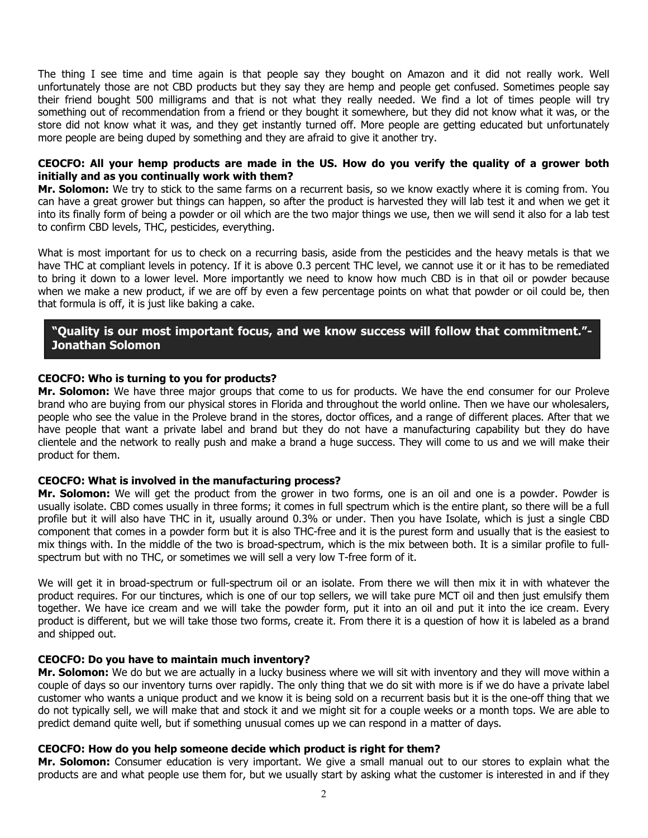The thing I see time and time again is that people say they bought on Amazon and it did not really work. Well unfortunately those are not CBD products but they say they are hemp and people get confused. Sometimes people say their friend bought 500 milligrams and that is not what they really needed. We find a lot of times people will try something out of recommendation from a friend or they bought it somewhere, but they did not know what it was, or the store did not know what it was, and they get instantly turned off. More people are getting educated but unfortunately more people are being duped by something and they are afraid to give it another try.

# **CEOCFO: All your hemp products are made in the US. How do you verify the quality of a grower both initially and as you continually work with them?**

**Mr. Solomon:** We try to stick to the same farms on a recurrent basis, so we know exactly where it is coming from. You can have a great grower but things can happen, so after the product is harvested they will lab test it and when we get it into its finally form of being a powder or oil which are the two major things we use, then we will send it also for a lab test to confirm CBD levels, THC, pesticides, everything.

What is most important for us to check on a recurring basis, aside from the pesticides and the heavy metals is that we have THC at compliant levels in potency. If it is above 0.3 percent THC level, we cannot use it or it has to be remediated to bring it down to a lower level. More importantly we need to know how much CBD is in that oil or powder because when we make a new product, if we are off by even a few percentage points on what that powder or oil could be, then that formula is off, it is just like baking a cake.

# **"Quality is our most important focus, and we know success will follow that commitment."- Jonathan Solomon**

## **CEOCFO: Who is turning to you for products?**

**Mr. Solomon:** We have three major groups that come to us for products. We have the end consumer for our Proleve brand who are buying from our physical stores in Florida and throughout the world online. Then we have our wholesalers, people who see the value in the Proleve brand in the stores, doctor offices, and a range of different places. After that we have people that want a private label and brand but they do not have a manufacturing capability but they do have clientele and the network to really push and make a brand a huge success. They will come to us and we will make their product for them.

#### **CEOCFO: What is involved in the manufacturing process?**

**Mr. Solomon:** We will get the product from the grower in two forms, one is an oil and one is a powder. Powder is usually isolate. CBD comes usually in three forms; it comes in full spectrum which is the entire plant, so there will be a full profile but it will also have THC in it, usually around 0.3% or under. Then you have Isolate, which is just a single CBD component that comes in a powder form but it is also THC-free and it is the purest form and usually that is the easiest to mix things with. In the middle of the two is broad-spectrum, which is the mix between both. It is a similar profile to fullspectrum but with no THC, or sometimes we will sell a very low T-free form of it.

We will get it in broad-spectrum or full-spectrum oil or an isolate. From there we will then mix it in with whatever the product requires. For our tinctures, which is one of our top sellers, we will take pure MCT oil and then just emulsify them together. We have ice cream and we will take the powder form, put it into an oil and put it into the ice cream. Every product is different, but we will take those two forms, create it. From there it is a question of how it is labeled as a brand and shipped out.

#### **CEOCFO: Do you have to maintain much inventory?**

**Mr. Solomon:** We do but we are actually in a lucky business where we will sit with inventory and they will move within a couple of days so our inventory turns over rapidly. The only thing that we do sit with more is if we do have a private label customer who wants a unique product and we know it is being sold on a recurrent basis but it is the one-off thing that we do not typically sell, we will make that and stock it and we might sit for a couple weeks or a month tops. We are able to predict demand quite well, but if something unusual comes up we can respond in a matter of days.

#### **CEOCFO: How do you help someone decide which product is right for them?**

**Mr. Solomon:** Consumer education is very important. We give a small manual out to our stores to explain what the products are and what people use them for, but we usually start by asking what the customer is interested in and if they